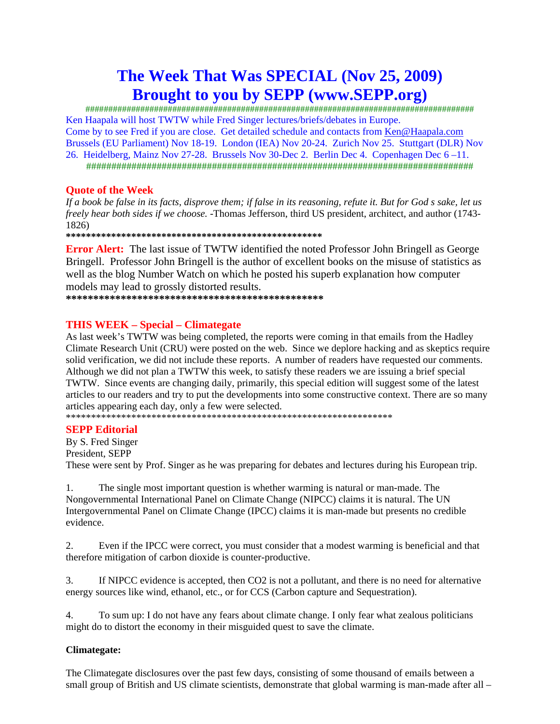# **The Week That Was SPECIAL (Nov 25, 2009) Brought to you by SEPP (www.SEPP.org)**

#####################################################################################

Ken Haapala will host TWTW while Fred Singer lectures/briefs/debates in Europe. Come by to see Fred if you are close. Get detailed schedule and contacts from Ken@Haapala.com Brussels (EU Parliament) Nov 18-19. London (IEA) Nov 20-24. Zurich Nov 25. Stuttgart (DLR) Nov 26. Heidelberg, Mainz Nov 27-28. Brussels Nov 30-Dec 2. Berlin Dec 4. Copenhagen Dec 6 –11. #############################################################################

## **Quote of the Week**

*If a book be false in its facts, disprove them; if false in its reasoning, refute it. But for God s sake, let us freely hear both sides if we choose.* -Thomas Jefferson, third US president, architect, and author (1743- 1826)

**\*\*\*\*\*\*\*\*\*\*\*\*\*\*\*\*\*\*\*\*\*\*\*\*\*\*\*\*\*\*\*\*\*\*\*\*\*\*\*\*\*\*\*\*\*\*\*\*\*\*\*** 

**Error Alert:** The last issue of TWTW identified the noted Professor John Bringell as George Bringell. Professor John Bringell is the author of excellent books on the misuse of statistics as well as the blog Number Watch on which he posted his superb explanation how computer models may lead to grossly distorted results.

**\*\*\*\*\*\*\*\*\*\*\*\*\*\*\*\*\*\*\*\*\*\*\*\*\*\*\*\*\*\*\*\*\*\*\*\*\*\*\*\*\*\*\*\*\*\*\*** 

# **THIS WEEK – Special – Climategate**

As last week's TWTW was being completed, the reports were coming in that emails from the Hadley Climate Research Unit (CRU) were posted on the web. Since we deplore hacking and as skeptics require solid verification, we did not include these reports. A number of readers have requested our comments. Although we did not plan a TWTW this week, to satisfy these readers we are issuing a brief special TWTW. Since events are changing daily, primarily, this special edition will suggest some of the latest articles to our readers and try to put the developments into some constructive context. There are so many articles appearing each day, only a few were selected.

\*\*\*\*\*\*\*\*\*\*\*\*\*\*\*\*\*\*\*\*\*\*\*\*\*\*\*\*\*\*\*\*\*\*\*\*\*\*\*\*\*\*\*\*\*\*\*\*\*\*\*\*\*\*\*\*\*\*\*\*\*\*\*\*\*

# **SEPP Editorial**

By S. Fred Singer President, SEPP These were sent by Prof. Singer as he was preparing for debates and lectures during his European trip.

1. The single most important question is whether warming is natural or man-made. The Nongovernmental International Panel on Climate Change (NIPCC) claims it is natural. The UN Intergovernmental Panel on Climate Change (IPCC) claims it is man-made but presents no credible evidence.

2. Even if the IPCC were correct, you must consider that a modest warming is beneficial and that therefore mitigation of carbon dioxide is counter-productive.

3. If NIPCC evidence is accepted, then CO2 is not a pollutant, and there is no need for alternative energy sources like wind, ethanol, etc., or for CCS (Carbon capture and Sequestration).

4. To sum up: I do not have any fears about climate change. I only fear what zealous politicians might do to distort the economy in their misguided quest to save the climate.

### **Climategate:**

The Climategate disclosures over the past few days, consisting of some thousand of emails between a small group of British and US climate scientists, demonstrate that global warming is man-made after all –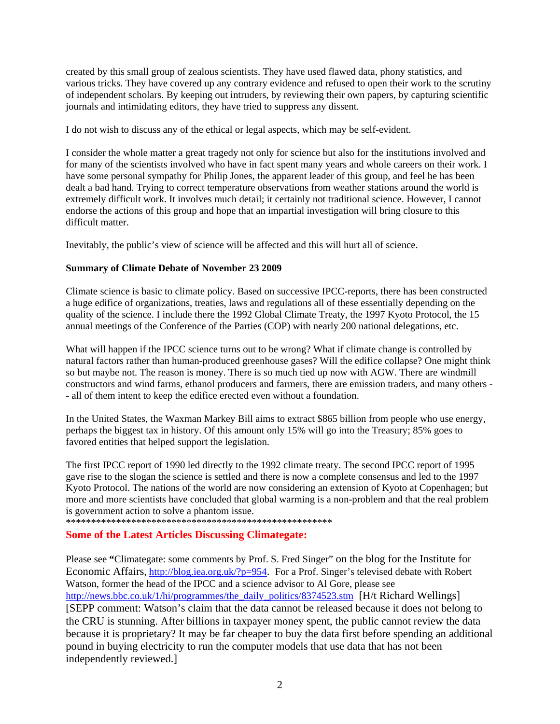created by this small group of zealous scientists. They have used flawed data, phony statistics, and various tricks. They have covered up any contrary evidence and refused to open their work to the scrutiny of independent scholars. By keeping out intruders, by reviewing their own papers, by capturing scientific journals and intimidating editors, they have tried to suppress any dissent.

I do not wish to discuss any of the ethical or legal aspects, which may be self-evident.

I consider the whole matter a great tragedy not only for science but also for the institutions involved and for many of the scientists involved who have in fact spent many years and whole careers on their work. I have some personal sympathy for Philip Jones, the apparent leader of this group, and feel he has been dealt a bad hand. Trying to correct temperature observations from weather stations around the world is extremely difficult work. It involves much detail; it certainly not traditional science. However, I cannot endorse the actions of this group and hope that an impartial investigation will bring closure to this difficult matter.

Inevitably, the public's view of science will be affected and this will hurt all of science.

#### **Summary of Climate Debate of November 23 2009**

Climate science is basic to climate policy. Based on successive IPCC-reports, there has been constructed a huge edifice of organizations, treaties, laws and regulations all of these essentially depending on the quality of the science. I include there the 1992 Global Climate Treaty, the 1997 Kyoto Protocol, the 15 annual meetings of the Conference of the Parties (COP) with nearly 200 national delegations, etc.

What will happen if the IPCC science turns out to be wrong? What if climate change is controlled by natural factors rather than human-produced greenhouse gases? Will the edifice collapse? One might think so but maybe not. The reason is money. There is so much tied up now with AGW. There are windmill constructors and wind farms, ethanol producers and farmers, there are emission traders, and many others - - all of them intent to keep the edifice erected even without a foundation.

In the United States, the Waxman Markey Bill aims to extract \$865 billion from people who use energy, perhaps the biggest tax in history. Of this amount only 15% will go into the Treasury; 85% goes to favored entities that helped support the legislation.

The first IPCC report of 1990 led directly to the 1992 climate treaty. The second IPCC report of 1995 gave rise to the slogan the science is settled and there is now a complete consensus and led to the 1997 Kyoto Protocol. The nations of the world are now considering an extension of Kyoto at Copenhagen; but more and more scientists have concluded that global warming is a non-problem and that the real problem is government action to solve a phantom issue.

\*\*\*\*\*\*\*\*\*\*\*\*\*\*\*\*\*\*\*\*\*\*\*\*\*\*\*\*\*\*\*\*\*\*\*\*\*\*\*\*\*\*\*\*\*\*\*\*\*\*\*\*\*

### **Some of the Latest Articles Discussing Climategate:**

Please see **"**Climategate: some comments by Prof. S. Fred Singer" on the blog for the Institute for Economic Affairs, http://blog.iea.org.uk/?p=954. For a Prof. Singer's televised debate with Robert Watson, former the head of the IPCC and a science advisor to Al Gore, please see http://news.bbc.co.uk/1/hi/programmes/the\_daily\_politics/8374523.stm [H/t Richard Wellings] [SEPP comment: Watson's claim that the data cannot be released because it does not belong to the CRU is stunning. After billions in taxpayer money spent, the public cannot review the data because it is proprietary? It may be far cheaper to buy the data first before spending an additional pound in buying electricity to run the computer models that use data that has not been independently reviewed.]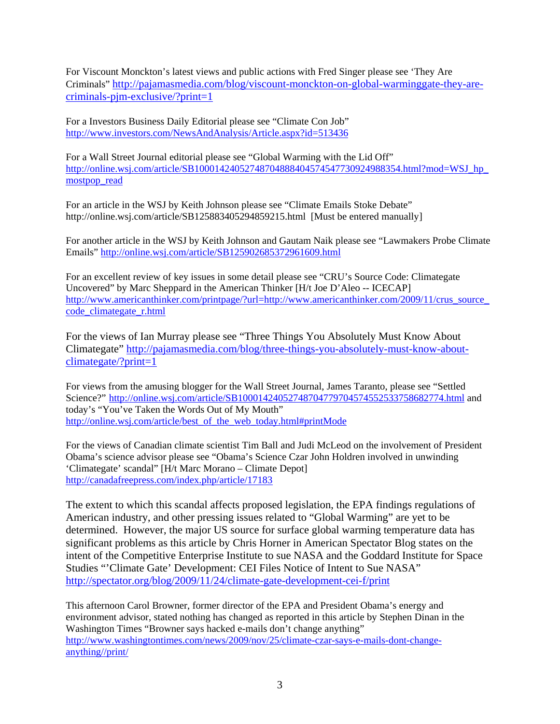For Viscount Monckton's latest views and public actions with Fred Singer please see 'They Are Criminals" http://pajamasmedia.com/blog/viscount-monckton-on-global-warminggate-they-arecriminals-pjm-exclusive/?print=1

For a Investors Business Daily Editorial please see "Climate Con Job" http://www.investors.com/NewsAndAnalysis/Article.aspx?id=513436

For a Wall Street Journal editorial please see "Global Warming with the Lid Off" http://online.wsj.com/article/SB10001424052748704888404574547730924988354.html?mod=WSJ\_hp\_ mostpop\_read

For an article in the WSJ by Keith Johnson please see "Climate Emails Stoke Debate" http://online.wsj.com/article/SB125883405294859215.html [Must be entered manually]

For another article in the WSJ by Keith Johnson and Gautam Naik please see "Lawmakers Probe Climate Emails" http://online.wsj.com/article/SB125902685372961609.html

For an excellent review of key issues in some detail please see "CRU's Source Code: Climategate Uncovered" by Marc Sheppard in the American Thinker [H/t Joe D'Aleo -- ICECAP] http://www.americanthinker.com/printpage/?url=http://www.americanthinker.com/2009/11/crus\_source\_ code\_climategate\_r.html

For the views of Ian Murray please see "Three Things You Absolutely Must Know About Climategate" http://pajamasmedia.com/blog/three-things-you-absolutely-must-know-aboutclimategate/?print=1

For views from the amusing blogger for the Wall Street Journal, James Taranto, please see "Settled Science?" http://online.wsj.com/article/SB10001424052748704779704574552533758682774.html and today's "You've Taken the Words Out of My Mouth" http://online.wsj.com/article/best\_of\_the\_web\_today.html#printMode

For the views of Canadian climate scientist Tim Ball and Judi McLeod on the involvement of President Obama's science advisor please see "Obama's Science Czar John Holdren involved in unwinding 'Climategate' scandal" [H/t Marc Morano – Climate Depot] http://canadafreepress.com/index.php/article/17183

The extent to which this scandal affects proposed legislation, the EPA findings regulations of American industry, and other pressing issues related to "Global Warming" are yet to be determined. However, the major US source for surface global warming temperature data has significant problems as this article by Chris Horner in American Spectator Blog states on the intent of the Competitive Enterprise Institute to sue NASA and the Goddard Institute for Space Studies "'Climate Gate' Development: CEI Files Notice of Intent to Sue NASA" http://spectator.org/blog/2009/11/24/climate-gate-development-cei-f/print

This afternoon Carol Browner, former director of the EPA and President Obama's energy and environment advisor, stated nothing has changed as reported in this article by Stephen Dinan in the Washington Times "Browner says hacked e-mails don't change anything" http://www.washingtontimes.com/news/2009/nov/25/climate-czar-says-e-mails-dont-changeanything//print/